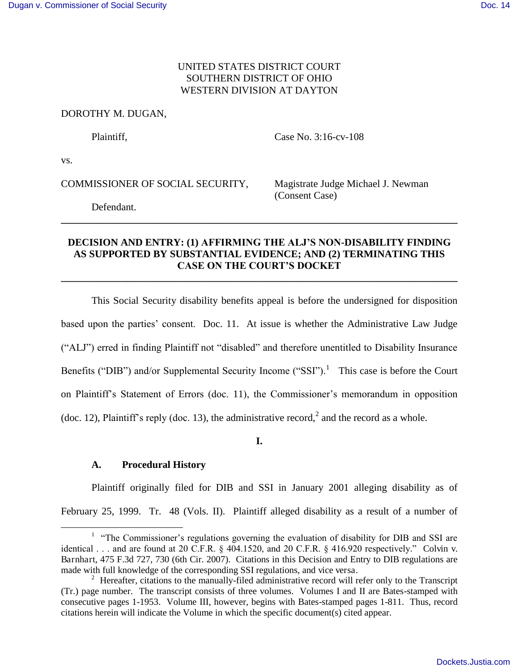# UNITED STATES DISTRICT COURT SOUTHERN DISTRICT OF OHIO WESTERN DIVISION AT DAYTON

## DOROTHY M. DUGAN,

Plaintiff. Case No. 3:16-cv-108

vs.

 $\overline{a}$ 

COMMISSIONER OF SOCIAL SECURITY, Magistrate Judge Michael J. Newman

(Consent Case)

Defendant.

# **DECISION AND ENTRY: (1) AFFIRMING THE ALJ'S NON-DISABILITY FINDING AS SUPPORTED BY SUBSTANTIAL EVIDENCE; AND (2) TERMINATING THIS CASE ON THE COURT'S DOCKET**

**\_\_\_\_\_\_\_\_\_\_\_\_\_\_\_\_\_\_\_\_\_\_\_\_\_\_\_\_\_\_\_\_\_\_\_\_\_\_\_\_\_\_\_\_\_\_\_\_\_\_\_\_\_\_\_\_\_\_\_\_\_\_\_\_\_\_\_\_\_\_\_\_\_\_\_\_\_\_** 

**\_\_\_\_\_\_\_\_\_\_\_\_\_\_\_\_\_\_\_\_\_\_\_\_\_\_\_\_\_\_\_\_\_\_\_\_\_\_\_\_\_\_\_\_\_\_\_\_\_\_\_\_\_\_\_\_\_\_\_\_\_\_\_\_\_\_\_\_\_\_\_\_\_\_\_\_\_\_**

This Social Security disability benefits appeal is before the undersigned for disposition based upon the parties' consent. Doc. 11. At issue is whether the Administrative Law Judge ("ALJ") erred in finding Plaintiff not "disabled" and therefore unentitled to Disability Insurance Benefits ("DIB") and/or Supplemental Security Income ("SSI").<sup>1</sup> This case is before the Court on Plaintiff's Statement of Errors (doc. 11), the Commissioner's memorandum in opposition (doc. 12), Plaintiff's reply (doc. 13), the administrative record,<sup>2</sup> and the record as a whole.

**I.**

# **A. Procedural History**

Plaintiff originally filed for DIB and SSI in January 2001 alleging disability as of February 25, 1999. Tr. 48 (Vols. II). Plaintiff alleged disability as a result of a number of

<sup>&</sup>lt;sup>1</sup> "The Commissioner's regulations governing the evaluation of disability for DIB and SSI are identical . . . and are found at 20 C.F.R. § 404.1520, and 20 C.F.R. § 416.920 respectively." Colvin v. Barnhart, 475 F.3d 727, 730 (6th Cir. 2007). Citations in this Decision and Entry to DIB regulations are made with full knowledge of the corresponding SSI regulations, and vice versa.

<sup>&</sup>lt;sup>2</sup> Hereafter, citations to the manually-filed administrative record will refer only to the Transcript (Tr.) page number. The transcript consists of three volumes. Volumes I and II are Bates-stamped with consecutive pages 1-1953. Volume III, however, begins with Bates-stamped pages 1-811. Thus, record citations herein will indicate the Volume in which the specific document(s) cited appear.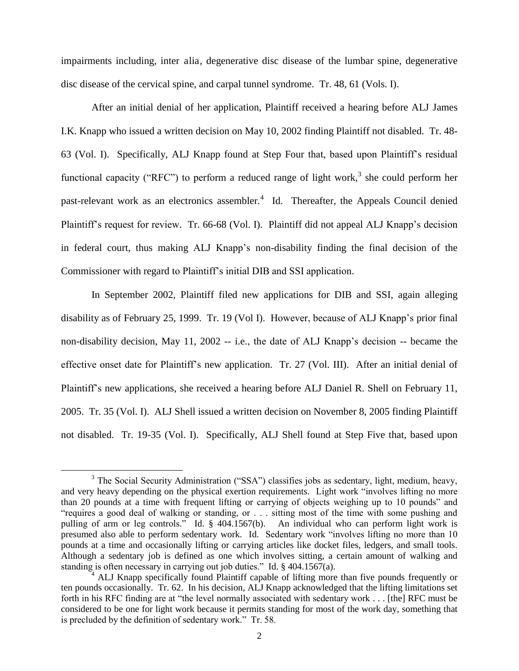impairments including, inter alia, degenerative disc disease of the lumbar spine, degenerative disc disease of the cervical spine, and carpal tunnel syndrome. Tr. 48, 61 (Vols. I).

After an initial denial of her application, Plaintiff received a hearing before ALJ James I.K. Knapp who issued a written decision on May 10, 2002 finding Plaintiff not disabled. Tr. 48- 63 (Vol. I). Specifically, ALJ Knapp found at Step Four that, based upon Plaintiff's residual functional capacity ("RFC") to perform a reduced range of light work,<sup>3</sup> she could perform her past-relevant work as an electronics assembler.<sup>4</sup> Id. Thereafter, the Appeals Council denied Plaintiff's request for review. Tr. 66-68 (Vol. I). Plaintiff did not appeal ALJ Knapp's decision in federal court, thus making ALJ Knapp's non-disability finding the final decision of the Commissioner with regard to Plaintiff's initial DIB and SSI application.

In September 2002, Plaintiff filed new applications for DIB and SSI, again alleging disability as of February 25, 1999. Tr. 19 (Vol I). However, because of ALJ Knapp's prior final non-disability decision, May 11, 2002 -- i.e., the date of ALJ Knapp's decision -- became the effective onset date for Plaintiff's new application. Tr. 27 (Vol. III). After an initial denial of Plaintiff's new applications, she received a hearing before ALJ Daniel R. Shell on February 11, 2005. Tr. 35 (Vol. I). ALJ Shell issued a written decision on November 8, 2005 finding Plaintiff not disabled. Tr. 19-35 (Vol. I). Specifically, ALJ Shell found at Step Five that, based upon

 $\overline{a}$ 

<sup>&</sup>lt;sup>3</sup> The Social Security Administration ("SSA") classifies jobs as sedentary, light, medium, heavy, and very heavy depending on the physical exertion requirements. Light work "involves lifting no more than 20 pounds at a time with frequent lifting or carrying of objects weighing up to 10 pounds" and "requires a good deal of walking or standing, or . . . sitting most of the time with some pushing and pulling of arm or leg controls." Id. § 404.1567(b). An individual who can perform light work is presumed also able to perform sedentary work. Id. Sedentary work "involves lifting no more than 10 pounds at a time and occasionally lifting or carrying articles like docket files, ledgers, and small tools. Although a sedentary job is defined as one which involves sitting, a certain amount of walking and standing is often necessary in carrying out job duties." Id. § 404.1567(a).

<sup>&</sup>lt;sup>4</sup> ALJ Knapp specifically found Plaintiff capable of lifting more than five pounds frequently or ten pounds occasionally. Tr. 62. In his decision, ALJ Knapp acknowledged that the lifting limitations set forth in his RFC finding are at "the level normally associated with sedentary work . . . [the] RFC must be considered to be one for light work because it permits standing for most of the work day, something that is precluded by the definition of sedentary work." Tr. 58.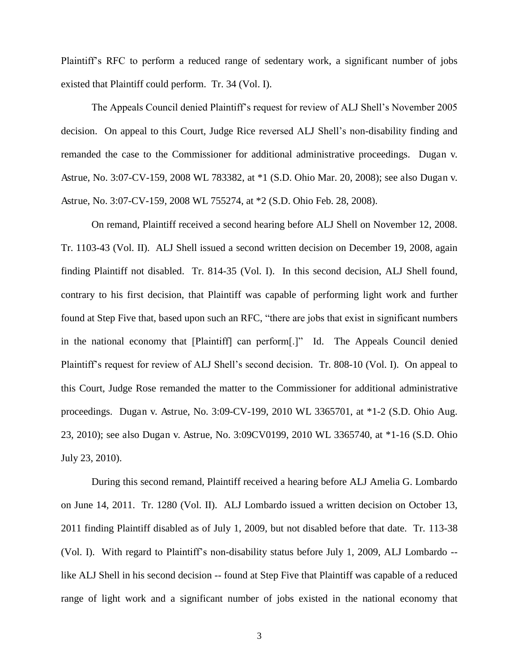Plaintiff's RFC to perform a reduced range of sedentary work, a significant number of jobs existed that Plaintiff could perform. Tr. 34 (Vol. I).

The Appeals Council denied Plaintiff's request for review of ALJ Shell's November 2005 decision. On appeal to this Court, Judge Rice reversed ALJ Shell's non-disability finding and remanded the case to the Commissioner for additional administrative proceedings. Dugan v. Astrue, No. 3:07-CV-159, 2008 WL 783382, at \*1 (S.D. Ohio Mar. 20, 2008); see also Dugan v. Astrue, No. 3:07-CV-159, 2008 WL 755274, at \*2 (S.D. Ohio Feb. 28, 2008).

On remand, Plaintiff received a second hearing before ALJ Shell on November 12, 2008. Tr. 1103-43 (Vol. II). ALJ Shell issued a second written decision on December 19, 2008, again finding Plaintiff not disabled. Tr. 814-35 (Vol. I). In this second decision, ALJ Shell found, contrary to his first decision, that Plaintiff was capable of performing light work and further found at Step Five that, based upon such an RFC, "there are jobs that exist in significant numbers in the national economy that [Plaintiff] can perform[.]" Id. The Appeals Council denied Plaintiff's request for review of ALJ Shell's second decision. Tr. 808-10 (Vol. I). On appeal to this Court, Judge Rose remanded the matter to the Commissioner for additional administrative proceedings. Dugan v. Astrue, No. 3:09-CV-199, 2010 WL 3365701, at \*1-2 (S.D. Ohio Aug. 23, 2010); see also Dugan v. Astrue, No. 3:09CV0199, 2010 WL 3365740, at \*1-16 (S.D. Ohio July 23, 2010).

During this second remand, Plaintiff received a hearing before ALJ Amelia G. Lombardo on June 14, 2011. Tr. 1280 (Vol. II). ALJ Lombardo issued a written decision on October 13, 2011 finding Plaintiff disabled as of July 1, 2009, but not disabled before that date. Tr. 113-38 (Vol. I). With regard to Plaintiff's non-disability status before July 1, 2009, ALJ Lombardo - like ALJ Shell in his second decision -- found at Step Five that Plaintiff was capable of a reduced range of light work and a significant number of jobs existed in the national economy that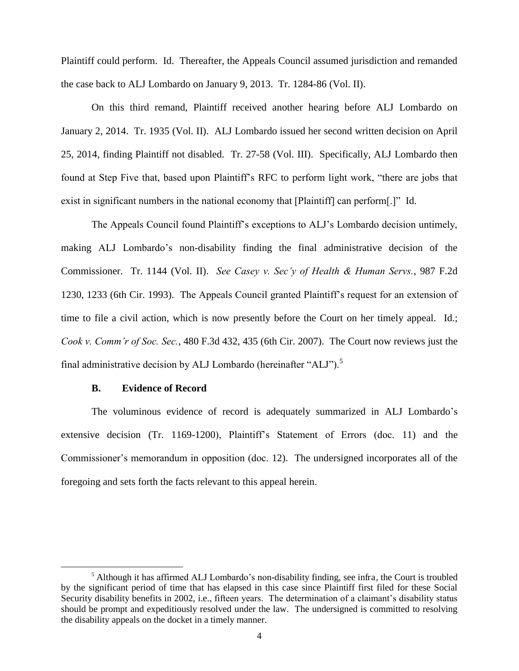Plaintiff could perform. Id. Thereafter, the Appeals Council assumed jurisdiction and remanded the case back to ALJ Lombardo on January 9, 2013. Tr. 1284-86 (Vol. II).

 On this third remand, Plaintiff received another hearing before ALJ Lombardo on January 2, 2014. Tr. 1935 (Vol. II). ALJ Lombardo issued her second written decision on April 25, 2014, finding Plaintiff not disabled. Tr. 27-58 (Vol. III). Specifically, ALJ Lombardo then found at Step Five that, based upon Plaintiff's RFC to perform light work, "there are jobs that exist in significant numbers in the national economy that [Plaintiff] can perform[.]" Id.

The Appeals Council found Plaintiff's exceptions to ALJ's Lombardo decision untimely, making ALJ Lombardo's non-disability finding the final administrative decision of the Commissioner. Tr. 1144 (Vol. II). *See Casey v. Sec'y of Health & Human Servs.*, 987 F.2d 1230, 1233 (6th Cir. 1993). The Appeals Council granted Plaintiff's request for an extension of time to file a civil action, which is now presently before the Court on her timely appeal. Id.; *Cook v. Comm'r of Soc. Sec.*, 480 F.3d 432, 435 (6th Cir. 2007). The Court now reviews just the final administrative decision by ALJ Lombardo (hereinafter "ALJ").<sup>5</sup>

### **B. Evidence of Record**

 $\overline{a}$ 

 The voluminous evidence of record is adequately summarized in ALJ Lombardo's extensive decision (Tr. 1169-1200), Plaintiff's Statement of Errors (doc. 11) and the Commissioner's memorandum in opposition (doc. 12). The undersigned incorporates all of the foregoing and sets forth the facts relevant to this appeal herein.

<sup>&</sup>lt;sup>5</sup> Although it has affirmed ALJ Lombardo's non-disability finding, see infra, the Court is troubled by the significant period of time that has elapsed in this case since Plaintiff first filed for these Social Security disability benefits in 2002, i.e., fifteen years. The determination of a claimant's disability status should be prompt and expeditiously resolved under the law. The undersigned is committed to resolving the disability appeals on the docket in a timely manner.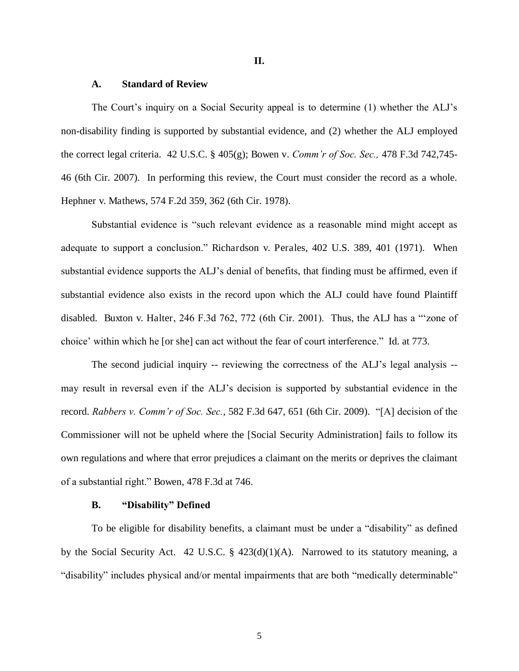#### **II.**

#### **A. Standard of Review**

The Court's inquiry on a Social Security appeal is to determine (1) whether the ALJ's non-disability finding is supported by substantial evidence, and (2) whether the ALJ employed the correct legal criteria. 42 U.S.C. § 405(g); Bowen v. *Comm'r of Soc. Sec.,* 478 F.3d 742,745- 46 (6th Cir. 2007). In performing this review, the Court must consider the record as a whole. Hephner v. Mathews, 574 F.2d 359, 362 (6th Cir. 1978).

Substantial evidence is "such relevant evidence as a reasonable mind might accept as adequate to support a conclusion." Richardson v. Perales, 402 U.S. 389, 401 (1971). When substantial evidence supports the ALJ's denial of benefits, that finding must be affirmed, even if substantial evidence also exists in the record upon which the ALJ could have found Plaintiff disabled. Buxton v. Halter, 246 F.3d 762, 772 (6th Cir. 2001). Thus, the ALJ has a "'zone of choice' within which he [or she] can act without the fear of court interference." Id. at 773.

 The second judicial inquiry -- reviewing the correctness of the ALJ's legal analysis - may result in reversal even if the ALJ's decision is supported by substantial evidence in the record. *Rabbers v. Comm'r of Soc. Sec.*, 582 F.3d 647, 651 (6th Cir. 2009). "[A] decision of the Commissioner will not be upheld where the [Social Security Administration] fails to follow its own regulations and where that error prejudices a claimant on the merits or deprives the claimant of a substantial right." Bowen, 478 F.3d at 746.

#### **B. "Disability" Defined**

 To be eligible for disability benefits, a claimant must be under a "disability" as defined by the Social Security Act. 42 U.S.C. § 423(d)(1)(A). Narrowed to its statutory meaning, a "disability" includes physical and/or mental impairments that are both "medically determinable"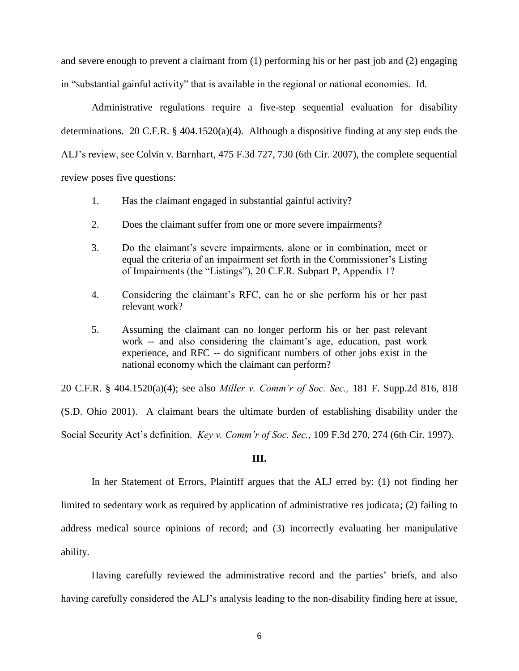and severe enough to prevent a claimant from (1) performing his or her past job and (2) engaging in "substantial gainful activity" that is available in the regional or national economies. Id.

 Administrative regulations require a five-step sequential evaluation for disability determinations. 20 C.F.R. § 404.1520(a)(4). Although a dispositive finding at any step ends the ALJ's review, see Colvin v. Barnhart, 475 F.3d 727, 730 (6th Cir. 2007), the complete sequential review poses five questions:

- 1. Has the claimant engaged in substantial gainful activity?
- 2. Does the claimant suffer from one or more severe impairments?
- 3. Do the claimant's severe impairments, alone or in combination, meet or equal the criteria of an impairment set forth in the Commissioner's Listing of Impairments (the "Listings"), 20 C.F.R. Subpart P, Appendix 1?
- 4. Considering the claimant's RFC, can he or she perform his or her past relevant work?
- 5. Assuming the claimant can no longer perform his or her past relevant work -- and also considering the claimant's age, education, past work experience, and RFC -- do significant numbers of other jobs exist in the national economy which the claimant can perform?

20 C.F.R. § 404.1520(a)(4); see also *Miller v. Comm'r of Soc. Sec.,* 181 F. Supp.2d 816, 818 (S.D. Ohio 2001). A claimant bears the ultimate burden of establishing disability under the Social Security Act's definition. *Key v. Comm'r of Soc. Sec.*, 109 F.3d 270, 274 (6th Cir. 1997).

#### **III.**

 In her Statement of Errors, Plaintiff argues that the ALJ erred by: (1) not finding her limited to sedentary work as required by application of administrative res judicata; (2) failing to address medical source opinions of record; and (3) incorrectly evaluating her manipulative ability.

Having carefully reviewed the administrative record and the parties' briefs, and also having carefully considered the ALJ's analysis leading to the non-disability finding here at issue,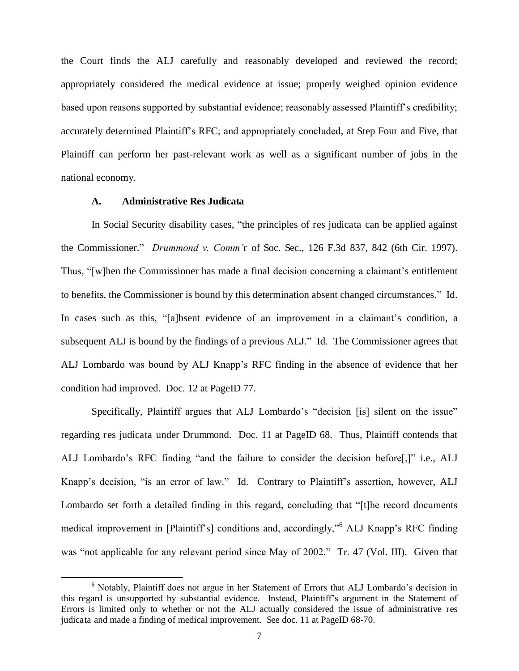the Court finds the ALJ carefully and reasonably developed and reviewed the record; appropriately considered the medical evidence at issue; properly weighed opinion evidence based upon reasons supported by substantial evidence; reasonably assessed Plaintiff's credibility; accurately determined Plaintiff's RFC; and appropriately concluded, at Step Four and Five, that Plaintiff can perform her past-relevant work as well as a significant number of jobs in the national economy.

# **A. Administrative Res Judicata**

 $\overline{a}$ 

 In Social Security disability cases, "the principles of res judicata can be applied against the Commissioner." *Drummond v. Comm'*r of Soc. Sec., 126 F.3d 837, 842 (6th Cir. 1997). Thus, "[w]hen the Commissioner has made a final decision concerning a claimant's entitlement to benefits, the Commissioner is bound by this determination absent changed circumstances." Id. In cases such as this, "[a]bsent evidence of an improvement in a claimant's condition, a subsequent ALJ is bound by the findings of a previous ALJ." Id. The Commissioner agrees that ALJ Lombardo was bound by ALJ Knapp's RFC finding in the absence of evidence that her condition had improved. Doc. 12 at PageID 77.

Specifically, Plaintiff argues that ALJ Lombardo's "decision [is] silent on the issue" regarding res judicata under Drummond. Doc. 11 at PageID 68. Thus, Plaintiff contends that ALJ Lombardo's RFC finding "and the failure to consider the decision before[,]" i.e., ALJ Knapp's decision, "is an error of law." Id. Contrary to Plaintiff's assertion, however, ALJ Lombardo set forth a detailed finding in this regard, concluding that "[t]he record documents medical improvement in [Plaintiff's] conditions and, accordingly,"<sup>6</sup> ALJ Knapp's RFC finding was "not applicable for any relevant period since May of 2002." Tr. 47 (Vol. III). Given that

<sup>6</sup> Notably, Plaintiff does not argue in her Statement of Errors that ALJ Lombardo's decision in this regard is unsupported by substantial evidence. Instead, Plaintiff's argument in the Statement of Errors is limited only to whether or not the ALJ actually considered the issue of administrative res judicata and made a finding of medical improvement. See doc. 11 at PageID 68-70.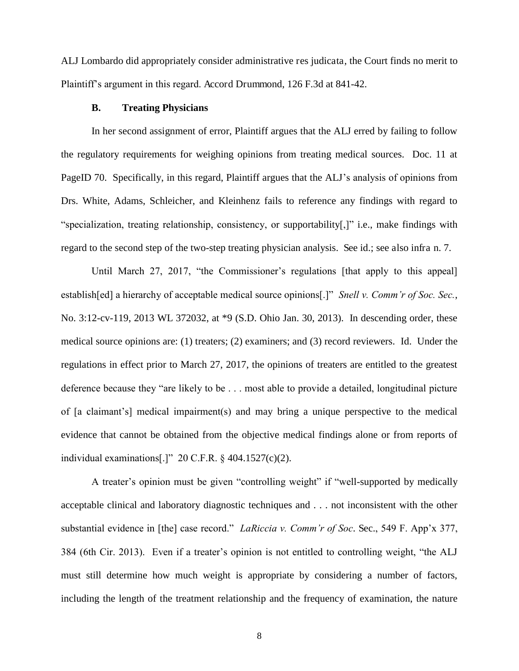ALJ Lombardo did appropriately consider administrative res judicata, the Court finds no merit to Plaintiff's argument in this regard. Accord Drummond, 126 F.3d at 841-42.

### **B. Treating Physicians**

In her second assignment of error, Plaintiff argues that the ALJ erred by failing to follow the regulatory requirements for weighing opinions from treating medical sources. Doc. 11 at PageID 70. Specifically, in this regard, Plaintiff argues that the ALJ's analysis of opinions from Drs. White, Adams, Schleicher, and Kleinhenz fails to reference any findings with regard to "specialization, treating relationship, consistency, or supportability[,]" i.e., make findings with regard to the second step of the two-step treating physician analysis. See id.; see also infra n. 7.

Until March 27, 2017, "the Commissioner's regulations [that apply to this appeal] establish[ed] a hierarchy of acceptable medical source opinions[.]" *Snell v. Comm'r of Soc. Sec.*, No. 3:12-cv-119, 2013 WL 372032, at \*9 (S.D. Ohio Jan. 30, 2013). In descending order, these medical source opinions are: (1) treaters; (2) examiners; and (3) record reviewers. Id. Under the regulations in effect prior to March 27, 2017, the opinions of treaters are entitled to the greatest deference because they "are likely to be . . . most able to provide a detailed, longitudinal picture of [a claimant's] medical impairment(s) and may bring a unique perspective to the medical evidence that cannot be obtained from the objective medical findings alone or from reports of individual examinations[.]" 20 C.F.R. § 404.1527(c)(2).

A treater's opinion must be given "controlling weight" if "well-supported by medically acceptable clinical and laboratory diagnostic techniques and . . . not inconsistent with the other substantial evidence in [the] case record." *LaRiccia v. Comm'r of Soc*. Sec., 549 F. App'x 377, 384 (6th Cir. 2013). Even if a treater's opinion is not entitled to controlling weight, "the ALJ must still determine how much weight is appropriate by considering a number of factors, including the length of the treatment relationship and the frequency of examination, the nature